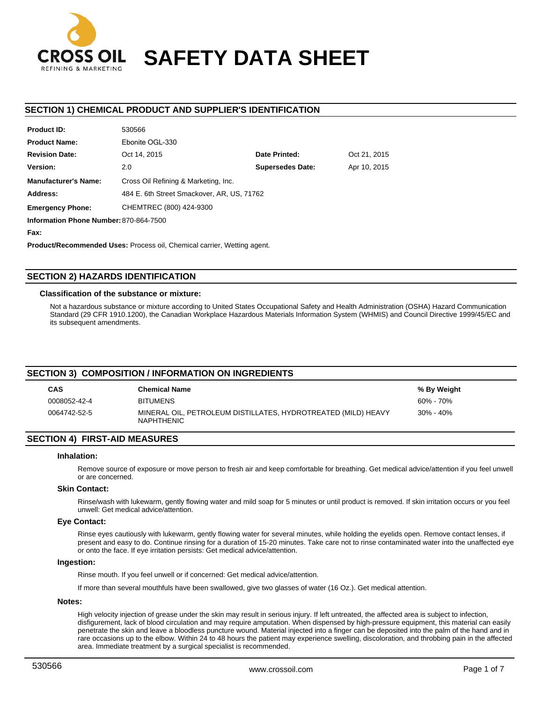

# **SAFETY DATA SHEET**

# **SECTION 1) CHEMICAL PRODUCT AND SUPPLIER'S IDENTIFICATION**

| <b>Product ID:</b>                     | 530566                                     |                         |              |  |  |
|----------------------------------------|--------------------------------------------|-------------------------|--------------|--|--|
| <b>Product Name:</b>                   | Ebonite OGL-330                            |                         |              |  |  |
| <b>Revision Date:</b>                  | Oct 14, 2015                               | Date Printed:           | Oct 21, 2015 |  |  |
| Version:                               | 2.0                                        | <b>Supersedes Date:</b> | Apr 10, 2015 |  |  |
| <b>Manufacturer's Name:</b>            | Cross Oil Refining & Marketing, Inc.       |                         |              |  |  |
| Address:                               | 484 E. 6th Street Smackover, AR, US, 71762 |                         |              |  |  |
| <b>Emergency Phone:</b>                | CHEMTREC (800) 424-9300                    |                         |              |  |  |
| Information Phone Number: 870-864-7500 |                                            |                         |              |  |  |

**Fax:**

**Product/Recommended Uses:** Process oil, Chemical carrier, Wetting agent.

530566

# **SECTION 2) HAZARDS IDENTIFICATION**

## **Classification of the substance or mixture:**

Not a hazardous substance or mixture according to United States Occupational Safety and Health Administration (OSHA) Hazard Communication Standard (29 CFR 1910.1200), the Canadian Workplace Hazardous Materials Information System (WHMIS) and Council Directive 1999/45/EC and its subsequent amendments.

## **SECTION 3) COMPOSITION / INFORMATION ON INGREDIENTS**

| <b>CAS</b>   | <b>Chemical Name</b>                                                               | % By Weight   |
|--------------|------------------------------------------------------------------------------------|---------------|
| 0008052-42-4 | <b>BITUMENS</b>                                                                    | 60% - 70%     |
| 0064742-52-5 | MINERAL OIL. PETROLEUM DISTILLATES. HYDROTREATED (MILD) HEAVY<br><b>NAPHTHENIC</b> | $30\% - 40\%$ |

# **SECTION 4) FIRST-AID MEASURES**

#### **Inhalation:**

Remove source of exposure or move person to fresh air and keep comfortable for breathing. Get medical advice/attention if you feel unwell or are concerned.

#### **Skin Contact:**

Rinse/wash with lukewarm, gently flowing water and mild soap for 5 minutes or until product is removed. If skin irritation occurs or you feel unwell: Get medical advice/attention.

## **Eye Contact:**

Rinse eyes cautiously with lukewarm, gently flowing water for several minutes, while holding the eyelids open. Remove contact lenses, if present and easy to do. Continue rinsing for a duration of 15-20 minutes. Take care not to rinse contaminated water into the unaffected eye or onto the face. If eye irritation persists: Get medical advice/attention.

#### **Ingestion:**

Rinse mouth. If you feel unwell or if concerned: Get medical advice/attention.

If more than several mouthfuls have been swallowed, give two glasses of water (16 Oz.). Get medical attention.

# **Notes:**

High velocity injection of grease under the skin may result in serious injury. If left untreated, the affected area is subject to infection, disfigurement, lack of blood circulation and may require amputation. When dispensed by high-pressure equipment, this material can easily penetrate the skin and leave a bloodless puncture wound. Material injected into a finger can be deposited into the palm of the hand and in rare occasions up to the elbow. Within 24 to 48 hours the patient may experience swelling, discoloration, and throbbing pain in the affected area. Immediate treatment by a surgical specialist is recommended.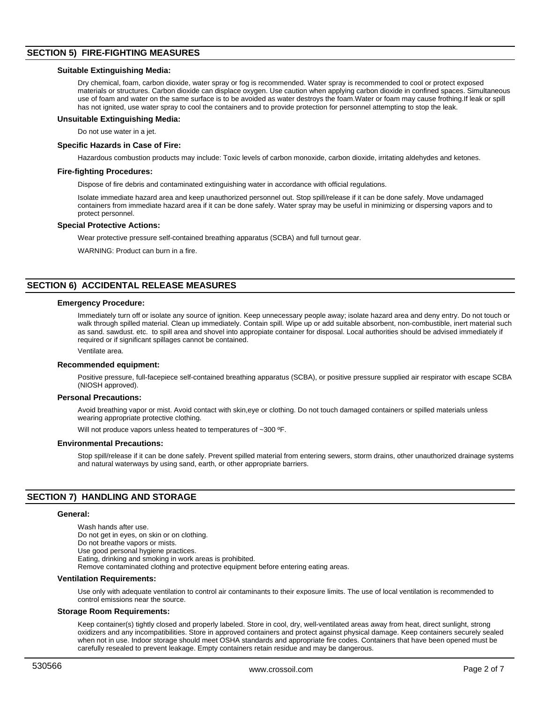# **SECTION 5) FIRE-FIGHTING MEASURES**

#### **Suitable Extinguishing Media:**

Dry chemical, foam, carbon dioxide, water spray or fog is recommended. Water spray is recommended to cool or protect exposed materials or structures. Carbon dioxide can displace oxygen. Use caution when applying carbon dioxide in confined spaces. Simultaneous use of foam and water on the same surface is to be avoided as water destroys the foam.Water or foam may cause frothing.If leak or spill has not ignited, use water spray to cool the containers and to provide protection for personnel attempting to stop the leak.

## **Unsuitable Extinguishing Media:**

Do not use water in a jet.

## **Specific Hazards in Case of Fire:**

Hazardous combustion products may include: Toxic levels of carbon monoxide, carbon dioxide, irritating aldehydes and ketones.

# **Fire-fighting Procedures:**

Dispose of fire debris and contaminated extinguishing water in accordance with official regulations.

Isolate immediate hazard area and keep unauthorized personnel out. Stop spill/release if it can be done safely. Move undamaged containers from immediate hazard area if it can be done safely. Water spray may be useful in minimizing or dispersing vapors and to protect personnel.

#### **Special Protective Actions:**

Wear protective pressure self-contained breathing apparatus (SCBA) and full turnout gear.

WARNING: Product can burn in a fire.

# **SECTION 6) ACCIDENTAL RELEASE MEASURES**

#### **Emergency Procedure:**

Immediately turn off or isolate any source of ignition. Keep unnecessary people away; isolate hazard area and deny entry. Do not touch or walk through spilled material. Clean up immediately. Contain spill. Wipe up or add suitable absorbent, non-combustible, inert material such as sand. sawdust. etc. to spill area and shovel into appropiate container for disposal. Local authorities should be advised immediately if required or if significant spillages cannot be contained.

Ventilate area.

## **Recommended equipment:**

Positive pressure, full-facepiece self-contained breathing apparatus (SCBA), or positive pressure supplied air respirator with escape SCBA (NIOSH approved).

## **Personal Precautions:**

Avoid breathing vapor or mist. Avoid contact with skin,eye or clothing. Do not touch damaged containers or spilled materials unless wearing appropriate protective clothing.

Will not produce vapors unless heated to temperatures of ~300 °F.

#### **Environmental Precautions:**

Stop spill/release if it can be done safely. Prevent spilled material from entering sewers, storm drains, other unauthorized drainage systems and natural waterways by using sand, earth, or other appropriate barriers.

# **SECTION 7) HANDLING AND STORAGE**

#### **General:**

Wash hands after use. Do not get in eyes, on skin or on clothing. Do not breathe vapors or mists. Use good personal hygiene practices. Eating, drinking and smoking in work areas is prohibited. Remove contaminated clothing and protective equipment before entering eating areas.

### **Ventilation Requirements:**

Use only with adequate ventilation to control air contaminants to their exposure limits. The use of local ventilation is recommended to control emissions near the source.

#### **Storage Room Requirements:**

Keep container(s) tightly closed and properly labeled. Store in cool, dry, well-ventilated areas away from heat, direct sunlight, strong oxidizers and any incompatibilities. Store in approved containers and protect against physical damage. Keep containers securely sealed when not in use. Indoor storage should meet OSHA standards and appropriate fire codes. Containers that have been opened must be carefully resealed to prevent leakage. Empty containers retain residue and may be dangerous.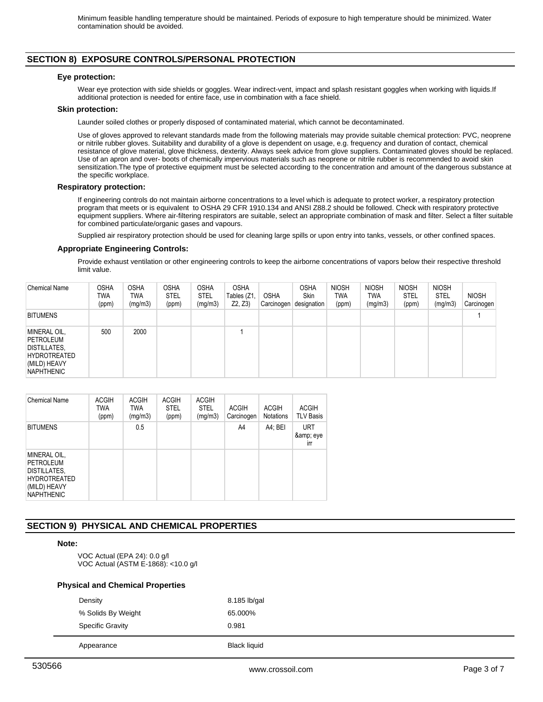# **SECTION 8) EXPOSURE CONTROLS/PERSONAL PROTECTION**

## **Eye protection:**

Wear eye protection with side shields or goggles. Wear indirect-vent, impact and splash resistant goggles when working with liquids.If additional protection is needed for entire face, use in combination with a face shield.

## **Skin protection:**

Launder soiled clothes or properly disposed of contaminated material, which cannot be decontaminated.

Use of gloves approved to relevant standards made from the following materials may provide suitable chemical protection: PVC, neoprene or nitrile rubber gloves. Suitability and durability of a glove is dependent on usage, e.g. frequency and duration of contact, chemical resistance of glove material, glove thickness, dexterity. Always seek advice from glove suppliers. Contaminated gloves should be replaced. Use of an apron and over- boots of chemically impervious materials such as neoprene or nitrile rubber is recommended to avoid skin sensitization.The type of protective equipment must be selected according to the concentration and amount of the dangerous substance at the specific workplace.

## **Respiratory protection:**

If engineering controls do not maintain airborne concentrations to a level which is adequate to protect worker, a respiratory protection program that meets or is equivalent to OSHA 29 CFR 1910.134 and ANSI Z88.2 should be followed. Check with respiratory protective equipment suppliers. Where air-filtering respirators are suitable, select an appropriate combination of mask and filter. Select a filter suitable for combined particulate/organic gases and vapours.

Supplied air respiratory protection should be used for cleaning large spills or upon entry into tanks, vessels, or other confined spaces.

## **Appropriate Engineering Controls:**

Provide exhaust ventilation or other engineering controls to keep the airborne concentrations of vapors below their respective threshold limit value.

| <b>Chemical Name</b>                                                                                  | OSHA<br>twa<br>(ppm) | <b>OSHA</b><br><b>TWA</b><br>(mg/m3) | <b>OSHA</b><br><b>STEL</b><br>(ppm) | <b>OSHA</b><br><b>STEL</b><br>(mg/m3) | <b>OSHA</b><br>Tables (Z1,<br>Z2, Z3) | <b>OSHA</b><br>Carcinogen | OSHA<br>Skin<br>designation | <b>NIOSH</b><br><b>TWA</b><br>(ppm) | <b>NIOSH</b><br><b>TWA</b><br>(mg/m3) | <b>NIOSH</b><br><b>STEL</b><br>(ppm) | <b>NIOSH</b><br><b>STEL</b><br>(mg/m3) | <b>NIOSH</b><br>Carcinogen |
|-------------------------------------------------------------------------------------------------------|----------------------|--------------------------------------|-------------------------------------|---------------------------------------|---------------------------------------|---------------------------|-----------------------------|-------------------------------------|---------------------------------------|--------------------------------------|----------------------------------------|----------------------------|
| <b>BITUMENS</b>                                                                                       |                      |                                      |                                     |                                       |                                       |                           |                             |                                     |                                       |                                      |                                        |                            |
| MINERAL OIL,<br>PETROLEUM<br>DISTILLATES,<br><b>HYDROTREATED</b><br>(MILD) HEAVY<br><b>NAPHTHENIC</b> | 500                  | 2000                                 |                                     |                                       |                                       |                           |                             |                                     |                                       |                                      |                                        |                            |

| <b>Chemical Name</b>                                                                                         | <b>ACGIH</b><br><b>TWA</b><br>(ppm) | <b>ACGIH</b><br><b>TWA</b><br>(mg/m3) | <b>ACGIH</b><br><b>STEL</b><br>(ppm) | <b>ACGIH</b><br><b>STEL</b><br>(mg/m3) | <b>ACGIH</b><br>Carcinogen | <b>ACGIH</b><br>Notations | <b>ACGIH</b><br><b>TLV Basis</b> |
|--------------------------------------------------------------------------------------------------------------|-------------------------------------|---------------------------------------|--------------------------------------|----------------------------------------|----------------------------|---------------------------|----------------------------------|
| <b>BITUMENS</b>                                                                                              |                                     | 0.5                                   |                                      |                                        | A4                         | A4; BEI                   | <b>URT</b><br>& eye<br>irr       |
| MINERAL OIL,<br><b>PETROLEUM</b><br>DISTILLATES,<br><b>HYDROTREATED</b><br>(MILD) HEAVY<br><b>NAPHTHENIC</b> |                                     |                                       |                                      |                                        |                            |                           |                                  |

# **SECTION 9) PHYSICAL AND CHEMICAL PROPERTIES**

# **Note:**

VOC Actual (EPA 24): 0.0 g/l VOC Actual (ASTM E-1868): <10.0 g/l

# **Physical and Chemical Properties**

| Appearance              | <b>Black liquid</b> |
|-------------------------|---------------------|
| <b>Specific Gravity</b> | 0.981               |
| % Solids By Weight      | 65.000%             |
| Density                 | 8.185 lb/gal        |
|                         |                     |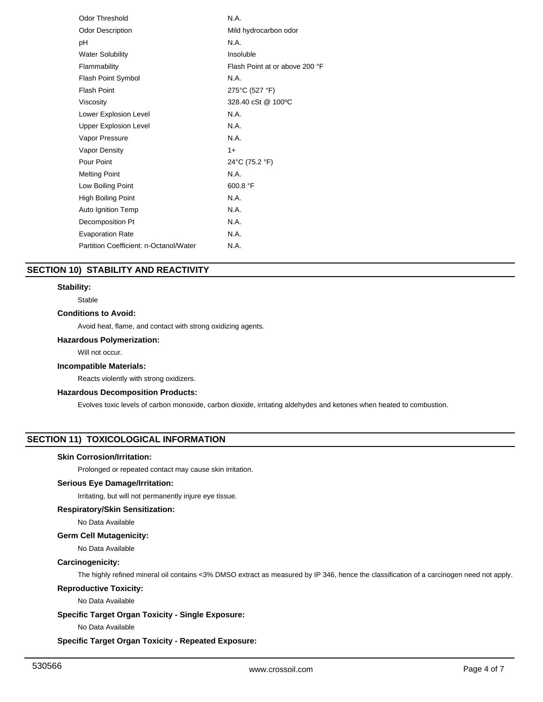| <b>Odor Threshold</b>                  | N.A.                           |
|----------------------------------------|--------------------------------|
| <b>Odor Description</b>                | Mild hydrocarbon odor          |
| рH                                     | N.A.                           |
| <b>Water Solubility</b>                | Insoluble                      |
| Flammability                           | Flash Point at or above 200 °F |
| Flash Point Symbol                     | N.A.                           |
| <b>Flash Point</b>                     | 275°C (527 °F)                 |
| Viscosity                              | 328.40 cSt @ 100 °C            |
| Lower Explosion Level                  | N.A.                           |
| <b>Upper Explosion Level</b>           | N.A.                           |
| Vapor Pressure                         | N.A.                           |
| Vapor Density                          | $1+$                           |
| Pour Point                             | 24°C (75.2 °F)                 |
| <b>Melting Point</b>                   | N.A.                           |
| Low Boiling Point                      | 600.8 °F                       |
| <b>High Boiling Point</b>              | N.A.                           |
| Auto Ignition Temp                     | N.A.                           |
| Decomposition Pt                       | N.A.                           |
| <b>Evaporation Rate</b>                | N.A.                           |
| Partition Coefficient: n-Octanol/Water | N.A.                           |
|                                        |                                |

# **SECTION 10) STABILITY AND REACTIVITY**

# **Stability:**

Stable

# **Conditions to Avoid:**

Avoid heat, flame, and contact with strong oxidizing agents.

# **Hazardous Polymerization:**

Will not occur.

# **Incompatible Materials:**

Reacts violently with strong oxidizers.

# **Hazardous Decomposition Products:**

Evolves toxic levels of carbon monoxide, carbon dioxide, irritating aldehydes and ketones when heated to combustion.

# **SECTION 11) TOXICOLOGICAL INFORMATION**

## **Skin Corrosion/Irritation:**

Prolonged or repeated contact may cause skin irritation.

# **Serious Eye Damage/Irritation:**

Irritating, but will not permanently injure eye tissue.

#### **Respiratory/Skin Sensitization:**

No Data Available

# **Germ Cell Mutagenicity:**

No Data Available

## **Carcinogenicity:**

The highly refined mineral oil contains <3% DMSO extract as measured by IP 346, hence the classification of a carcinogen need not apply.

# **Reproductive Toxicity:**

No Data Available

# **Specific Target Organ Toxicity - Single Exposure:**

No Data Available

# **Specific Target Organ Toxicity - Repeated Exposure:**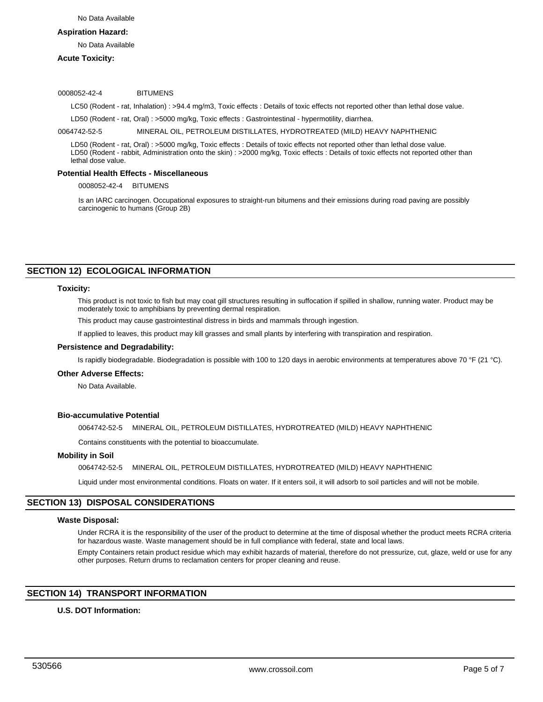### **Aspiration Hazard:**

No Data Available

# **Acute Toxicity:**

#### 0008052-42-4 BITUMENS

LC50 (Rodent - rat, Inhalation) : >94.4 mg/m3, Toxic effects : Details of toxic effects not reported other than lethal dose value.

LD50 (Rodent - rat, Oral) : >5000 mg/kg, Toxic effects : Gastrointestinal - hypermotility, diarrhea.

0064742-52-5 MINERAL OIL, PETROLEUM DISTILLATES, HYDROTREATED (MILD) HEAVY NAPHTHENIC

LD50 (Rodent - rat, Oral) : >5000 mg/kg, Toxic effects : Details of toxic effects not reported other than lethal dose value. LD50 (Rodent - rabbit, Administration onto the skin) : >2000 mg/kg, Toxic effects : Details of toxic effects not reported other than lethal dose value.

## **Potential Health Effects - Miscellaneous**

0008052-42-4 BITUMENS

Is an IARC carcinogen. Occupational exposures to straight-run bitumens and their emissions during road paving are possibly carcinogenic to humans (Group 2B)

## **SECTION 12) ECOLOGICAL INFORMATION**

# **Toxicity:**

This product is not toxic to fish but may coat gill structures resulting in suffocation if spilled in shallow, running water. Product may be moderately toxic to amphibians by preventing dermal respiration.

This product may cause gastrointestinal distress in birds and mammals through ingestion.

If applied to leaves, this product may kill grasses and small plants by interfering with transpiration and respiration.

#### **Persistence and Degradability:**

Is rapidly biodegradable. Biodegradation is possible with 100 to 120 days in aerobic environments at temperatures above 70 °F (21 °C).

#### **Other Adverse Effects:**

No Data Available.

## **Bio-accumulative Potential**

0064742-52-5 MINERAL OIL, PETROLEUM DISTILLATES, HYDROTREATED (MILD) HEAVY NAPHTHENIC

Contains constituents with the potential to bioaccumulate.

#### **Mobility in Soil**

0064742-52-5 MINERAL OIL, PETROLEUM DISTILLATES, HYDROTREATED (MILD) HEAVY NAPHTHENIC

Liquid under most environmental conditions. Floats on water. If it enters soil, it will adsorb to soil particles and will not be mobile.

## **SECTION 13) DISPOSAL CONSIDERATIONS**

#### **Waste Disposal:**

Under RCRA it is the responsibility of the user of the product to determine at the time of disposal whether the product meets RCRA criteria for hazardous waste. Waste management should be in full compliance with federal, state and local laws.

Empty Containers retain product residue which may exhibit hazards of material, therefore do not pressurize, cut, glaze, weld or use for any other purposes. Return drums to reclamation centers for proper cleaning and reuse.

# **SECTION 14) TRANSPORT INFORMATION**

# **U.S. DOT Information:**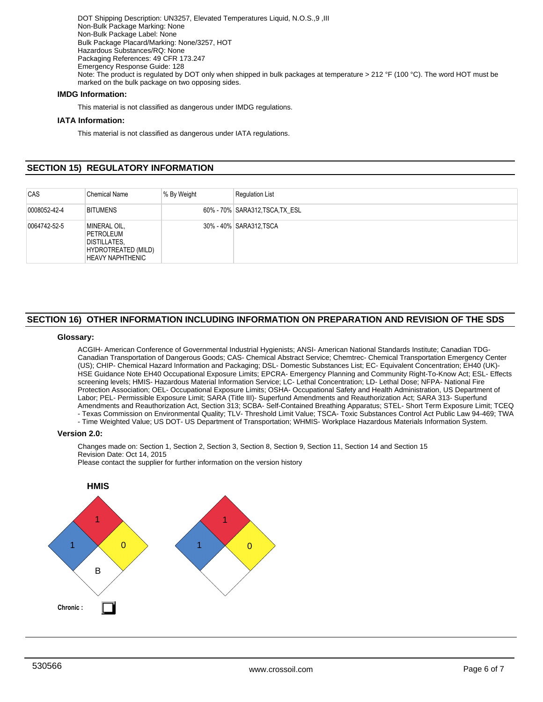DOT Shipping Description: UN3257, Elevated Temperatures Liquid, N.O.S.,9 ,III Non-Bulk Package Marking: None Non-Bulk Package Label: None Bulk Package Placard/Marking: None/3257, HOT Hazardous Substances/RQ: None Packaging References: 49 CFR 173.247 Emergency Response Guide: 128 Note: The product is regulated by DOT only when shipped in bulk packages at temperature > 212 °F (100 °C). The word HOT must be marked on the bulk package on two opposing sides.

# **IMDG Information:**

This material is not classified as dangerous under IMDG regulations.

# **IATA Information:**

This material is not classified as dangerous under IATA regulations.

# **SECTION 15) REGULATORY INFORMATION**

| CAS          | <b>Chemical Name</b>                                                                        | % By Weight | <b>Requlation List</b>          |
|--------------|---------------------------------------------------------------------------------------------|-------------|---------------------------------|
| 0008052-42-4 | <b>BITUMENS</b>                                                                             |             | 60% - 70% SARA312, TSCA, TX ESL |
| 0064742-52-5 | MINERAL OIL,<br>PETROLEUM<br><b>DISTILLATES,</b><br>HYDROTREATED (MILD)<br>HEAVY NAPHTHENIC |             | 30% - 40% SARA312, TSCA         |

# **SECTION 16) OTHER INFORMATION INCLUDING INFORMATION ON PREPARATION AND REVISION OF THE SDS**

## **Glossary:**

ACGIH- American Conference of Governmental Industrial Hygienists; ANSI- American National Standards Institute; Canadian TDG-Canadian Transportation of Dangerous Goods; CAS- Chemical Abstract Service; Chemtrec- Chemical Transportation Emergency Center (US); CHIP- Chemical Hazard Information and Packaging; DSL- Domestic Substances List; EC- Equivalent Concentration; EH40 (UK)- HSE Guidance Note EH40 Occupational Exposure Limits; EPCRA- Emergency Planning and Community Right-To-Know Act; ESL- Effects screening levels; HMIS- Hazardous Material Information Service; LC- Lethal Concentration; LD- Lethal Dose; NFPA- National Fire Protection Association; OEL- Occupational Exposure Limits; OSHA- Occupational Safety and Health Administration, US Department of Labor; PEL- Permissible Exposure Limit; SARA (Title III)- Superfund Amendments and Reauthorization Act; SARA 313- Superfund Amendments and Reauthorization Act, Section 313; SCBA- Self-Contained Breathing Apparatus; STEL- Short Term Exposure Limit; TCEQ - Texas Commission on Environmental Quality; TLV- Threshold Limit Value; TSCA- Toxic Substances Control Act Public Law 94-469; TWA

- Time Weighted Value; US DOT- US Department of Transportation; WHMIS- Workplace Hazardous Materials Information System.

#### **Version 2.0:**

Changes made on: Section 1, Section 2, Section 3, Section 8, Section 9, Section 11, Section 14 and Section 15 Revision Date: Oct 14, 2015

Please contact the supplier for further information on the version history